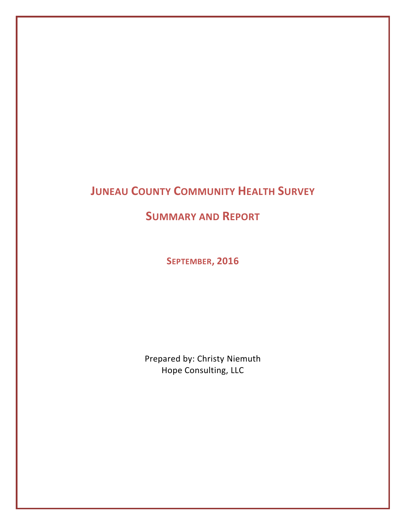# **JUNEAU COUNTY COMMUNITY HEALTH SURVEY**

**SUMMARY AND REPORT**

**SEPTEMBER, 2016**

Prepared by: Christy Niemuth Hope Consulting, LLC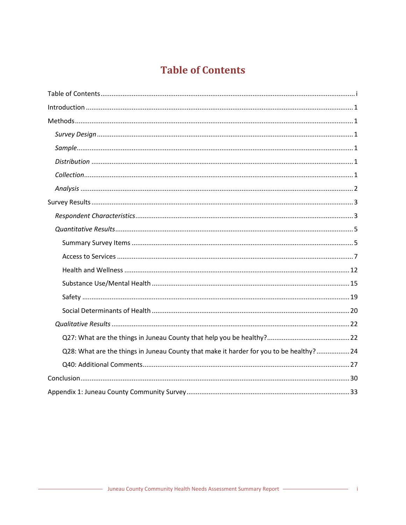# **Table of Contents**

<span id="page-1-0"></span>

| Q28: What are the things in Juneau County that make it harder for you to be healthy? 24 |  |
|-----------------------------------------------------------------------------------------|--|
|                                                                                         |  |
|                                                                                         |  |
|                                                                                         |  |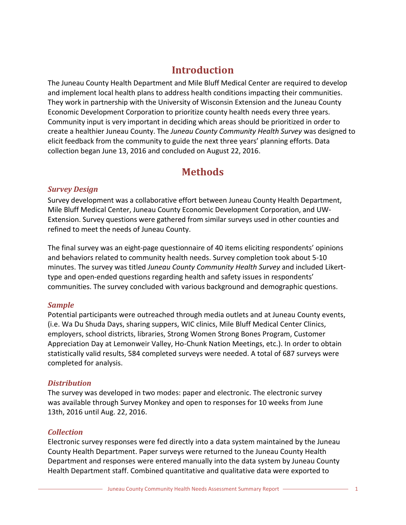# **Introduction**

<span id="page-2-0"></span>The Juneau County Health Department and Mile Bluff Medical Center are required to develop and implement local health plans to address health conditions impacting their communities. They work in partnership with the University of Wisconsin Extension and the Juneau County Economic Development Corporation to prioritize county health needs every three years. Community input is very important in deciding which areas should be prioritized in order to create a healthier Juneau County. The *Juneau County Community Health Survey* was designed to elicit feedback from the community to guide the next three years' planning efforts. Data collection began June 13, 2016 and concluded on August 22, 2016.

# **Methods**

# <span id="page-2-2"></span><span id="page-2-1"></span>*Survey Design*

Survey development was a collaborative effort between Juneau County Health Department, Mile Bluff Medical Center, Juneau County Economic Development Corporation, and UW-Extension. Survey questions were gathered from similar surveys used in other counties and refined to meet the needs of Juneau County.

The final survey was an eight-page questionnaire of 40 items eliciting respondents' opinions and behaviors related to community health needs. Survey completion took about 5-10 minutes. The survey was titled *Juneau County Community Health Survey* and included Likerttype and open-ended questions regarding health and safety issues in respondents' communities. The survey concluded with various background and demographic questions.

# <span id="page-2-3"></span>*Sample*

Potential participants were outreached through media outlets and at Juneau County events, (i.e. Wa Du Shuda Days, sharing suppers, WIC clinics, Mile Bluff Medical Center Clinics, employers, school districts, libraries, Strong Women Strong Bones Program, Customer Appreciation Day at Lemonweir Valley, Ho-Chunk Nation Meetings, etc.). In order to obtain statistically valid results, 584 completed surveys were needed. A total of 687 surveys were completed for analysis.

# <span id="page-2-4"></span>*Distribution*

The survey was developed in two modes: paper and electronic. The electronic survey was available through Survey Monkey and open to responses for 10 weeks from June 13th, 2016 until Aug. 22, 2016.

# <span id="page-2-5"></span>*Collection*

Electronic survey responses were fed directly into a data system maintained by the Juneau County Health Department. Paper surveys were returned to the Juneau County Health Department and responses were entered manually into the data system by Juneau County Health Department staff. Combined quantitative and qualitative data were exported to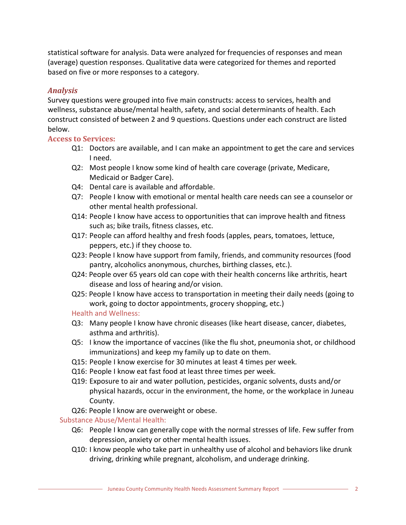statistical software for analysis. Data were analyzed for frequencies of responses and mean (average) question responses. Qualitative data were categorized for themes and reported based on five or more responses to a category.

# <span id="page-3-0"></span>*Analysis*

Survey questions were grouped into five main constructs: access to services, health and wellness, substance abuse/mental health, safety, and social determinants of health. Each construct consisted of between 2 and 9 questions. Questions under each construct are listed below.

# **Access to Services:**

- Q1: Doctors are available, and I can make an appointment to get the care and services I need.
- Q2: Most people I know some kind of health care coverage (private, Medicare, Medicaid or Badger Care).
- Q4: Dental care is available and affordable.
- Q7: People I know with emotional or mental health care needs can see a counselor or other mental health professional.
- Q14: People I know have access to opportunities that can improve health and fitness such as; bike trails, fitness classes, etc.
- Q17: People can afford healthy and fresh foods (apples, pears, tomatoes, lettuce, peppers, etc.) if they choose to.
- Q23: People I know have support from family, friends, and community resources (food pantry, alcoholics anonymous, churches, birthing classes, etc.).
- Q24: People over 65 years old can cope with their health concerns like arthritis, heart disease and loss of hearing and/or vision.
- Q25: People I know have access to transportation in meeting their daily needs (going to work, going to doctor appointments, grocery shopping, etc.)

# Health and Wellness:

- Q3: Many people I know have chronic diseases (like heart disease, cancer, diabetes, asthma and arthritis).
- Q5: I know the importance of vaccines (like the flu shot, pneumonia shot, or childhood immunizations) and keep my family up to date on them.
- Q15: People I know exercise for 30 minutes at least 4 times per week.
- Q16: People I know eat fast food at least three times per week.
- Q19: Exposure to air and water pollution, pesticides, organic solvents, dusts and/or physical hazards, occur in the environment, the home, or the workplace in Juneau County.
- Q26: People I know are overweight or obese.

# Substance Abuse/Mental Health:

- Q6: People I know can generally cope with the normal stresses of life. Few suffer from depression, anxiety or other mental health issues.
- Q10: I know people who take part in unhealthy use of alcohol and behaviors like drunk driving, drinking while pregnant, alcoholism, and underage drinking.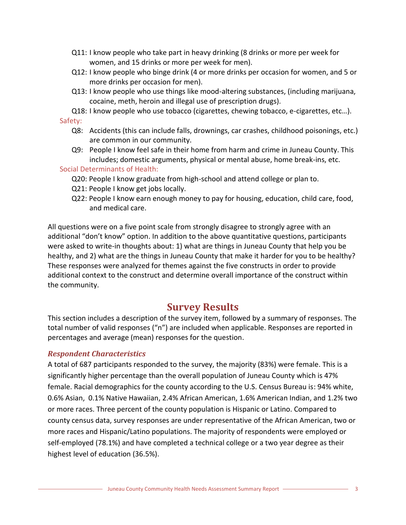- Q11: I know people who take part in heavy drinking (8 drinks or more per week for women, and 15 drinks or more per week for men).
- Q12: I know people who binge drink (4 or more drinks per occasion for women, and 5 or more drinks per occasion for men).
- Q13: I know people who use things like mood-altering substances, (including marijuana, cocaine, meth, heroin and illegal use of prescription drugs).
- Q18: I know people who use tobacco (cigarettes, chewing tobacco, e-cigarettes, etc…). Safety:
	- Q8: Accidents (this can include falls, drownings, car crashes, childhood poisonings, etc.) are common in our community.
	- Q9: People I know feel safe in their home from harm and crime in Juneau County. This includes; domestic arguments, physical or mental abuse, home break-ins, etc.

## Social Determinants of Health:

- Q20: People I know graduate from high-school and attend college or plan to.
- Q21: People I know get jobs locally.
- Q22: People I know earn enough money to pay for housing, education, child care, food, and medical care.

All questions were on a five point scale from strongly disagree to strongly agree with an additional "don't know" option. In addition to the above quantitative questions, participants were asked to write-in thoughts about: 1) what are things in Juneau County that help you be healthy, and 2) what are the things in Juneau County that make it harder for you to be healthy? These responses were analyzed for themes against the five constructs in order to provide additional context to the construct and determine overall importance of the construct within the community.

# **Survey Results**

<span id="page-4-0"></span>This section includes a description of the survey item, followed by a summary of responses. The total number of valid responses ("n") are included when applicable. Responses are reported in percentages and average (mean) responses for the question.

# <span id="page-4-1"></span>*Respondent Characteristics*

A total of 687 participants responded to the survey, the majority (83%) were female. This is a significantly higher percentage than the overall population of Juneau County which is 47% female. Racial demographics for the county according to the U.S. Census Bureau is: 94% white, 0.6% Asian, 0.1% Native Hawaiian, 2.4% African American, 1.6% American Indian, and 1.2% two or more races. Three percent of the county population is Hispanic or Latino. Compared to county census data, survey responses are under representative of the African American, two or more races and Hispanic/Latino populations. The majority of respondents were employed or self-employed (78.1%) and have completed a technical college or a two year degree as their highest level of education (36.5%).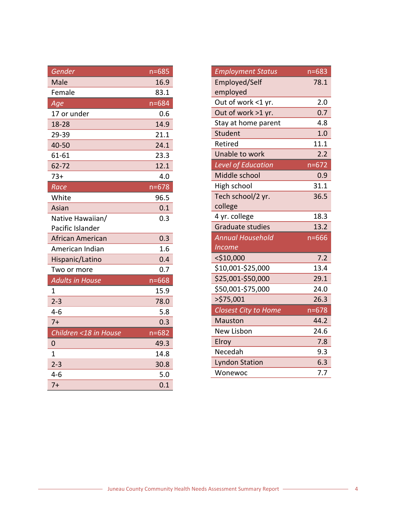| Gender                 | $n = 685$ |
|------------------------|-----------|
| Male                   | 16.9      |
| Female                 | 83.1      |
| Age                    | $n = 684$ |
| 17 or under            | 0.6       |
| 18-28                  | 14.9      |
| 29-39                  | 21.1      |
| 40-50                  | 24.1      |
| 61-61                  | 23.3      |
| 62-72                  | 12.1      |
| $73+$                  | 4.0       |
| Race                   | $n = 678$ |
| White                  | 96.5      |
| Asian                  | 0.1       |
| Native Hawaiian/       | 0.3       |
| Pacific Islander       |           |
| African American       | 0.3       |
| American Indian        | 1.6       |
| Hispanic/Latino        | 0.4       |
| Two or more            | 0.7       |
| <b>Adults in House</b> | $n = 668$ |
| 1                      | 15.9      |
| $2 - 3$                | 78.0      |
| $4-6$                  | 5.8       |
| $7+$                   | 0.3       |
| Children <18 in House  | $n = 682$ |
| 0                      | 49.3      |
| $\overline{1}$         | 14.8      |
| $2 - 3$                | 30.8      |
| $4 - 6$                | 5.0       |
| $7+$                   | 0.1       |

| <b>Employment Status</b>    | $n = 683$        |
|-----------------------------|------------------|
| Employed/Self               | 78.1             |
| employed                    |                  |
| Out of work <1 yr.          | 2.0              |
| Out of work >1 yr.          | 0.7              |
| Stay at home parent         | 4.8              |
| Student                     | 1.0              |
| Retired                     | 11.1             |
| Unable to work              | $2.\overline{2}$ |
| <b>Level of Education</b>   | $n = 672$        |
| Middle school               | 0.9              |
| High school                 | 31.1             |
| Tech school/2 yr.           | 36.5             |
| college                     |                  |
| 4 yr. college               | 18.3             |
| <b>Graduate studies</b>     | 13.2             |
| <b>Annual Household</b>     | $n = 666$        |
| <b>Income</b>               |                  |
| $<$ \$10,000                | 7.2              |
| \$10,001-\$25,000           | 13.4             |
| \$25,001-\$50,000           | 29.1             |
| \$50,001-\$75,000           | 24.0             |
| >\$75,001                   | 26.3             |
| <b>Closest City to Home</b> | $n = 678$        |
| <b>Mauston</b>              | 44.2             |
| <b>New Lisbon</b>           | 24.6             |
| Elroy                       | 7.8              |
| Necedah                     | 9.3              |
| <b>Lyndon Station</b>       | 6.3              |
| Wonewoc                     | 7.7              |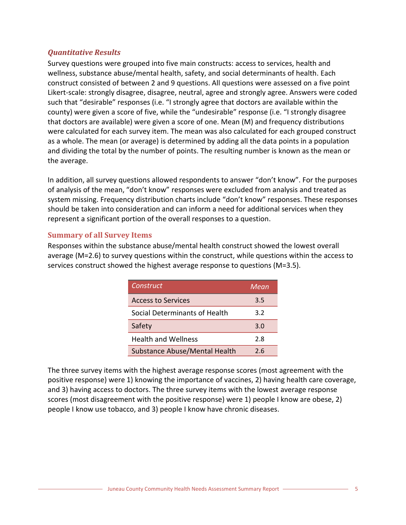# <span id="page-6-0"></span>*Quantitative Results*

Survey questions were grouped into five main constructs: access to services, health and wellness, substance abuse/mental health, safety, and social determinants of health. Each construct consisted of between 2 and 9 questions. All questions were assessed on a five point Likert-scale: strongly disagree, disagree, neutral, agree and strongly agree. Answers were coded such that "desirable" responses (i.e. "I strongly agree that doctors are available within the county) were given a score of five, while the "undesirable" response (i.e. "I strongly disagree that doctors are available) were given a score of one. Mean (M) and frequency distributions were calculated for each survey item. The mean was also calculated for each grouped construct as a whole. The mean (or average) is determined by adding all the data points in a population and dividing the total by the number of points. The resulting number is known as the mean or the average.

In addition, all survey questions allowed respondents to answer "don't know". For the purposes of analysis of the mean, "don't know" responses were excluded from analysis and treated as system missing. Frequency distribution charts include "don't know" responses. These responses should be taken into consideration and can inform a need for additional services when they represent a significant portion of the overall responses to a question.

# <span id="page-6-1"></span>**Summary of all Survey Items**

Responses within the substance abuse/mental health construct showed the lowest overall average (M=2.6) to survey questions within the construct, while questions within the access to services construct showed the highest average response to questions (M=3.5).

| Construct                     | Mean |
|-------------------------------|------|
| <b>Access to Services</b>     | 3.5  |
| Social Determinants of Health | 3.2  |
| Safety                        | 3.0  |
| <b>Health and Wellness</b>    | 2.8  |
| Substance Abuse/Mental Health | 2.6  |

The three survey items with the highest average response scores (most agreement with the positive response) were 1) knowing the importance of vaccines, 2) having health care coverage, and 3) having access to doctors. The three survey items with the lowest average response scores (most disagreement with the positive response) were 1) people I know are obese, 2) people I know use tobacco, and 3) people I know have chronic diseases.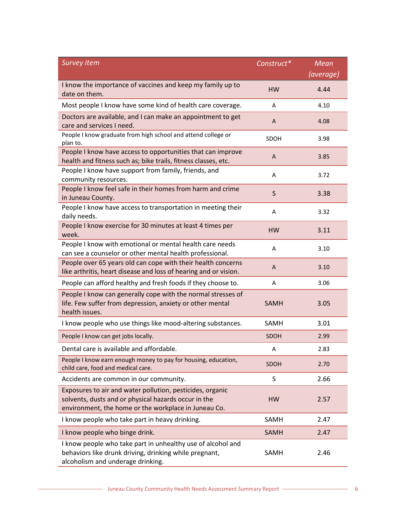| <b>Survey item</b>                                                                                                                                                        | Construct*   | <b>Mean</b> |
|---------------------------------------------------------------------------------------------------------------------------------------------------------------------------|--------------|-------------|
|                                                                                                                                                                           |              | (average)   |
| I know the importance of vaccines and keep my family up to<br>date on them.                                                                                               | <b>HW</b>    | 4.44        |
| Most people I know have some kind of health care coverage.                                                                                                                | A            | 4.10        |
| Doctors are available, and I can make an appointment to get<br>care and services I need.                                                                                  | A            | 4.08        |
| People I know graduate from high school and attend college or<br>plan to.                                                                                                 | SDOH         | 3.98        |
| People I know have access to opportunities that can improve<br>health and fitness such as; bike trails, fitness classes, etc.                                             | A            | 3.85        |
| People I know have support from family, friends, and<br>community resources.                                                                                              | A            | 3.72        |
| People I know feel safe in their homes from harm and crime<br>in Juneau County.                                                                                           | $\mathsf{S}$ | 3.38        |
| People I know have access to transportation in meeting their<br>daily needs.                                                                                              | A            | 3.32        |
| People I know exercise for 30 minutes at least 4 times per<br>week.                                                                                                       | <b>HW</b>    | 3.11        |
| People I know with emotional or mental health care needs<br>can see a counselor or other mental health professional.                                                      | A            | 3.10        |
| People over 65 years old can cope with their health concerns<br>like arthritis, heart disease and loss of hearing and or vision.                                          | A            | 3.10        |
| People can afford healthy and fresh foods if they choose to.                                                                                                              | A            | 3.06        |
| People I know can generally cope with the normal stresses of<br>life. Few suffer from depression, anxiety or other mental<br>health issues.                               | <b>SAMH</b>  | 3.05        |
| I know people who use things like mood-altering substances.                                                                                                               | SAMH         | 3.01        |
| People I know can get jobs locally.                                                                                                                                       | SDOH         | 2.99        |
| Dental care is available and affordable.                                                                                                                                  | A            | 2.83        |
| People I know earn enough money to pay for housing, education,<br>child care, food and medical care.                                                                      | SDOH         | 2.70        |
| Accidents are common in our community.                                                                                                                                    | S            | 2.66        |
| Exposures to air and water pollution, pesticides, organic<br>solvents, dusts and or physical hazards occur in the<br>environment, the home or the workplace in Juneau Co. | <b>HW</b>    | 2.57        |
| I know people who take part in heavy drinking.                                                                                                                            | SAMH         | 2.47        |
| I know people who binge drink.                                                                                                                                            | <b>SAMH</b>  | 2.47        |
| I know people who take part in unhealthy use of alcohol and<br>behaviors like drunk driving, drinking while pregnant,<br>alcoholism and underage drinking.                | SAMH         | 2.46        |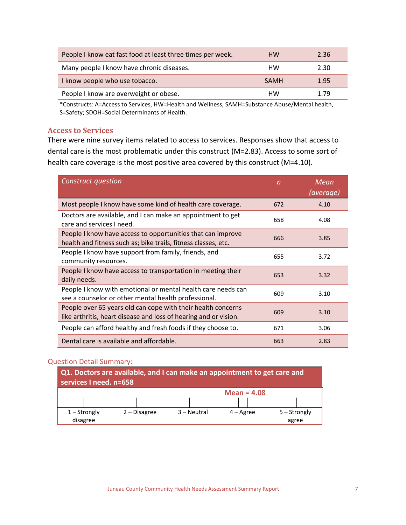| People I know eat fast food at least three times per week. | <b>HW</b> | 2.36 |
|------------------------------------------------------------|-----------|------|
| Many people I know have chronic diseases.                  | HW        | 2.30 |
| I know people who use tobacco.                             | SAMH      | 1.95 |
| People I know are overweight or obese.                     | HW        | 1.79 |

\*Constructs: A=Access to Services, HW=Health and Wellness, SAMH=Substance Abuse/Mental health, S=Safety; SDOH=Social Determinants of Health.

#### <span id="page-8-0"></span>**Access to Services**

There were nine survey items related to access to services. Responses show that access to dental care is the most problematic under this construct (M=2.83). Access to some sort of health care coverage is the most positive area covered by this construct (M=4.10).

| <b>Construct question</b>                                                                                                        | n   | Mean<br>(average) |
|----------------------------------------------------------------------------------------------------------------------------------|-----|-------------------|
| Most people I know have some kind of health care coverage.                                                                       | 672 | 4.10              |
| Doctors are available, and I can make an appointment to get<br>care and services I need.                                         | 658 | 4.08              |
| People I know have access to opportunities that can improve<br>health and fitness such as; bike trails, fitness classes, etc.    | 666 | 3.85              |
| People I know have support from family, friends, and<br>community resources.                                                     | 655 | 3.72              |
| People I know have access to transportation in meeting their<br>daily needs.                                                     | 653 | 3.32              |
| People I know with emotional or mental health care needs can<br>see a counselor or other mental health professional.             | 609 | 3.10              |
| People over 65 years old can cope with their health concerns<br>like arthritis, heart disease and loss of hearing and or vision. | 609 | 3.10              |
| People can afford healthy and fresh foods if they choose to.                                                                     | 671 | 3.06              |
| Dental care is available and affordable.                                                                                         | 663 | 2.83              |

#### Question Detail Summary:

| Q1. Doctors are available, and I can make an appointment to get care and<br>services I need. n=658 |              |             |                    |                |  |  |  |  |  |
|----------------------------------------------------------------------------------------------------|--------------|-------------|--------------------|----------------|--|--|--|--|--|
| Mean = $4.08$                                                                                      |              |             |                    |                |  |  |  |  |  |
|                                                                                                    |              |             |                    |                |  |  |  |  |  |
| $1 -$ Strongly                                                                                     | 2 – Disagree | 3 – Neutral | $4 - \text{Agree}$ | $5 -$ Strongly |  |  |  |  |  |
| disagree                                                                                           |              |             |                    | agree          |  |  |  |  |  |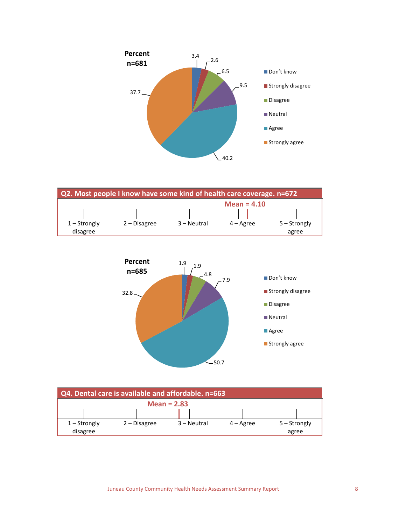





| Q4. Dental care is available and affordable. n=663 |                |  |                |  |             |                    |  |                |  |
|----------------------------------------------------|----------------|--|----------------|--|-------------|--------------------|--|----------------|--|
|                                                    | Mean = $2.83$  |  |                |  |             |                    |  |                |  |
|                                                    |                |  |                |  |             |                    |  |                |  |
|                                                    | $1 -$ Strongly |  | $2 - Disagree$ |  | 3 – Neutral | $4 - \text{Agree}$ |  | $5 -$ Strongly |  |
|                                                    | disagree       |  |                |  |             |                    |  | agree          |  |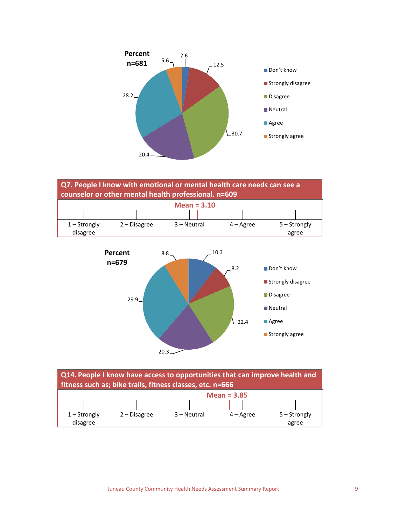





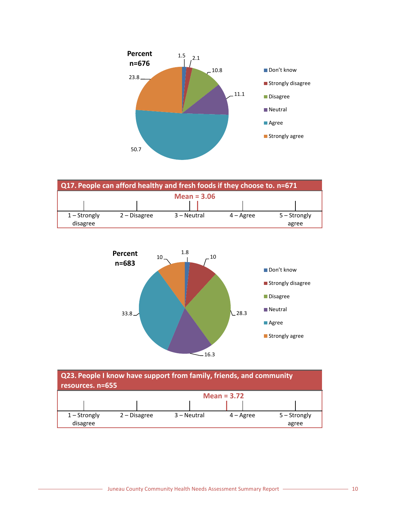

| Q17. People can afford healthy and fresh foods if they choose to. n=671 |                |              |  |             |  |           |  |              |  |
|-------------------------------------------------------------------------|----------------|--------------|--|-------------|--|-----------|--|--------------|--|
|                                                                         | Mean = $3.06$  |              |  |             |  |           |  |              |  |
|                                                                         |                |              |  |             |  |           |  |              |  |
|                                                                         | $1 -$ Strongly | 2 – Disagree |  | 3 – Neutral |  | 4 – Agree |  | 5 – Strongly |  |
|                                                                         | disagree       |              |  |             |  |           |  | agree        |  |



| Q23. People I know have support from family, friends, and community<br>resources. n=655 |                |             |                    |                         |  |  |  |  |  |
|-----------------------------------------------------------------------------------------|----------------|-------------|--------------------|-------------------------|--|--|--|--|--|
|                                                                                         | Mean = $3.72$  |             |                    |                         |  |  |  |  |  |
| $1 -$ Strongly<br>disagree                                                              | $2 - Disagree$ | 3 – Neutral | $4 - \text{Agree}$ | $5 -$ Strongly<br>agree |  |  |  |  |  |

- Juneau County Community Health Needs Assessment Summary Report - The County 2004 of the 10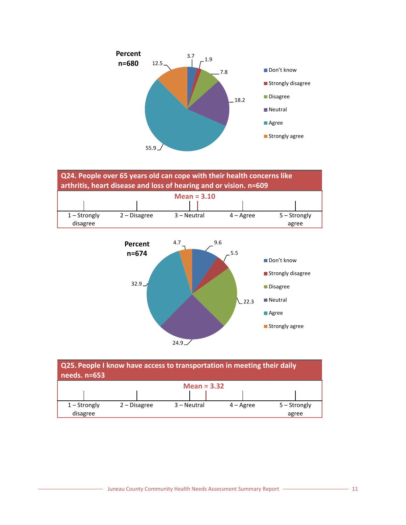





| Q25. People I know have access to transportation in meeting their daily<br>needs. n=653 |                |  |               |                    |              |  |  |  |  |
|-----------------------------------------------------------------------------------------|----------------|--|---------------|--------------------|--------------|--|--|--|--|
|                                                                                         | Mean = $3.32$  |  |               |                    |              |  |  |  |  |
|                                                                                         |                |  |               |                    |              |  |  |  |  |
| $1 -$ Strongly                                                                          | $2 - Disagree$ |  | $3 - Neutral$ | $4 - \text{Agree}$ | 5 - Strongly |  |  |  |  |
| disagree                                                                                |                |  |               |                    | agree        |  |  |  |  |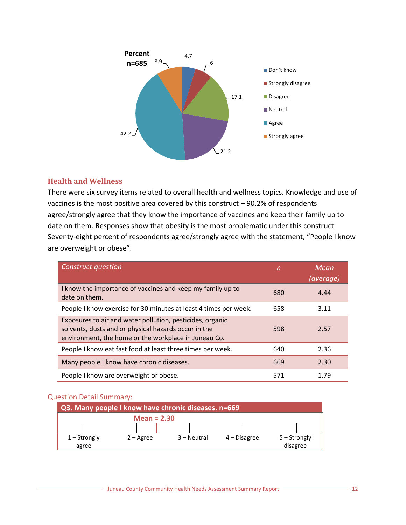

# <span id="page-13-0"></span>**Health and Wellness**

There were six survey items related to overall health and wellness topics. Knowledge and use of vaccines is the most positive area covered by this construct – 90.2% of respondents agree/strongly agree that they know the importance of vaccines and keep their family up to date on them. Responses show that obesity is the most problematic under this construct. Seventy-eight percent of respondents agree/strongly agree with the statement, "People I know are overweight or obese".

| <b>Construct question</b>                                                                                                                                                 | n   | Mean<br>(average) |
|---------------------------------------------------------------------------------------------------------------------------------------------------------------------------|-----|-------------------|
| I know the importance of vaccines and keep my family up to<br>date on them.                                                                                               | 680 | 4.44              |
| People I know exercise for 30 minutes at least 4 times per week.                                                                                                          | 658 | 3.11              |
| Exposures to air and water pollution, pesticides, organic<br>solvents, dusts and or physical hazards occur in the<br>environment, the home or the workplace in Juneau Co. | 598 | 2.57              |
| People I know eat fast food at least three times per week.                                                                                                                | 640 | 2.36              |
| Many people I know have chronic diseases.                                                                                                                                 | 669 | 2.30              |
| People I know are overweight or obese.                                                                                                                                    | 571 | 1.79              |

#### Question Detail Summary:

| Q3. Many people I know have chronic diseases. n=669 |               |             |                |                |  |
|-----------------------------------------------------|---------------|-------------|----------------|----------------|--|
|                                                     | Mean = $2.30$ |             |                |                |  |
|                                                     |               |             |                |                |  |
| $1 -$ Strongly                                      | $2 -$ Agree   | 3 – Neutral | $4$ – Disagree | $5 -$ Strongly |  |
| agree                                               |               |             |                | disagree       |  |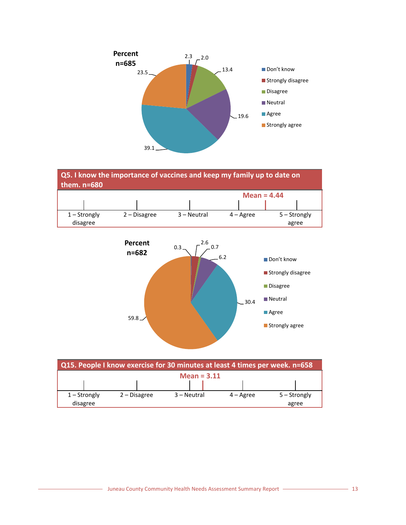





| Q15. People I know exercise for 30 minutes at least 4 times per week. n=658 |                |                |  |             |               |                    |              |       |
|-----------------------------------------------------------------------------|----------------|----------------|--|-------------|---------------|--------------------|--------------|-------|
|                                                                             |                |                |  |             | Mean = $3.11$ |                    |              |       |
|                                                                             |                |                |  |             |               |                    |              |       |
|                                                                             | $1 -$ Strongly | $2 - Disagree$ |  | 3 – Neutral |               | $4 - \text{Agree}$ | 5 – Strongly |       |
|                                                                             | disagree       |                |  |             |               |                    |              | agree |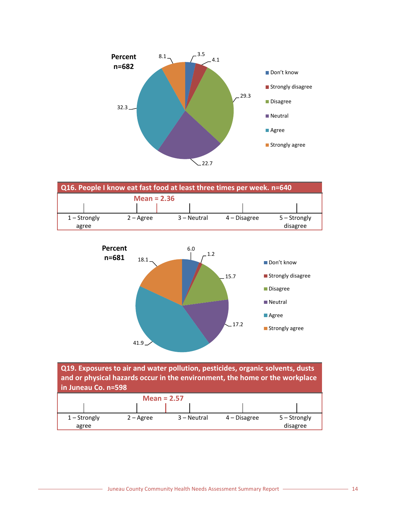





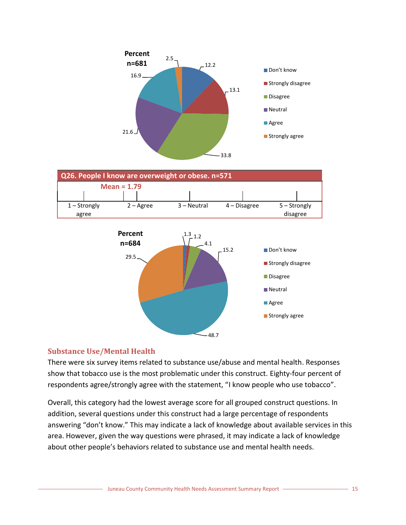



# <span id="page-16-0"></span>**Substance Use/Mental Health**

There were six survey items related to substance use/abuse and mental health. Responses show that tobacco use is the most problematic under this construct. Eighty-four percent of respondents agree/strongly agree with the statement, "I know people who use tobacco".

 $-48.7$ 

**Strongly agree** 

Overall, this category had the lowest average score for all grouped construct questions. In addition, several questions under this construct had a large percentage of respondents answering "don't know." This may indicate a lack of knowledge about available services in this area. However, given the way questions were phrased, it may indicate a lack of knowledge about other people's behaviors related to substance use and mental health needs.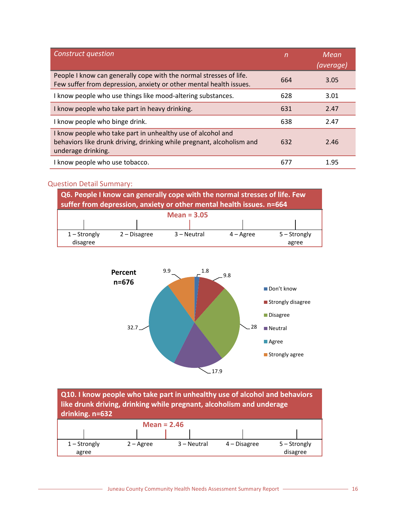| Construct question                                                                                                                                         | n   | Mean<br>(average) |
|------------------------------------------------------------------------------------------------------------------------------------------------------------|-----|-------------------|
| People I know can generally cope with the normal stresses of life.<br>Few suffer from depression, anxiety or other mental health issues.                   | 664 | 3.05              |
| I know people who use things like mood-altering substances.                                                                                                | 628 | 3.01              |
| I know people who take part in heavy drinking.                                                                                                             | 631 | 2.47              |
| I know people who binge drink.                                                                                                                             | 638 | 2.47              |
| I know people who take part in unhealthy use of alcohol and<br>behaviors like drunk driving, drinking while pregnant, alcoholism and<br>underage drinking. | 632 | 2.46              |
| I know people who use tobacco.                                                                                                                             | 677 | 1.95              |

#### Question Detail Summary:

agree





**Q10. I know people who take part in unhealthy use of alcohol and behaviors like drunk driving, drinking while pregnant, alcoholism and underage drinking. n=632 Mean = 2.46** 1 – Strongly 2 – Agree 3 – Neutral 4 – Disagree 5 – Strongly

disagree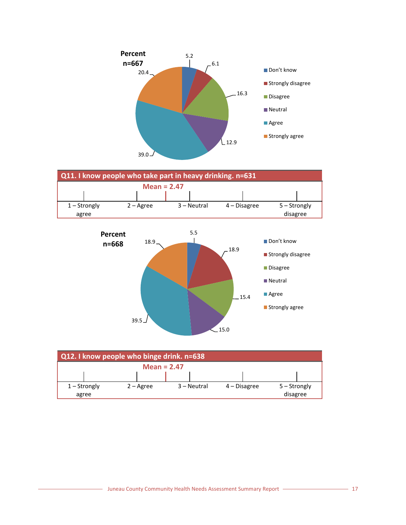





| Q12. I know people who binge drink. n=638 |               |             |              |              |  |
|-------------------------------------------|---------------|-------------|--------------|--------------|--|
|                                           | Mean = $2.47$ |             |              |              |  |
|                                           |               |             |              |              |  |
| $1 -$ Strongly                            | $2 -$ Agree   | 3 – Neutral | 4 – Disagree | 5 – Strongly |  |
| agree                                     |               |             |              | disagree     |  |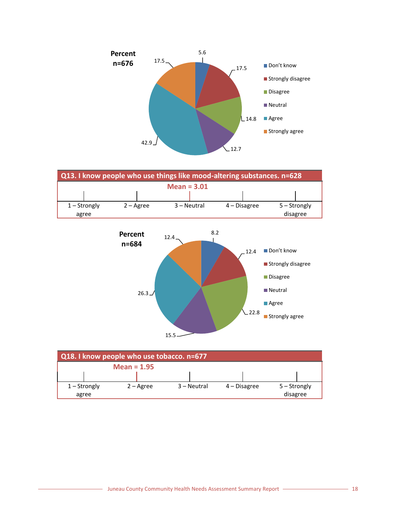





| Q18. I know people who use tobacco. n=677 |  |               |                    |             |              |                |  |
|-------------------------------------------|--|---------------|--------------------|-------------|--------------|----------------|--|
|                                           |  | Mean = $1.95$ |                    |             |              |                |  |
|                                           |  |               |                    |             |              |                |  |
| $1 -$ Strongly                            |  |               | $2 - \text{Agree}$ | 3 – Neutral | 4 – Disagree | $5 -$ Strongly |  |
| agree                                     |  |               |                    |             |              | disagree       |  |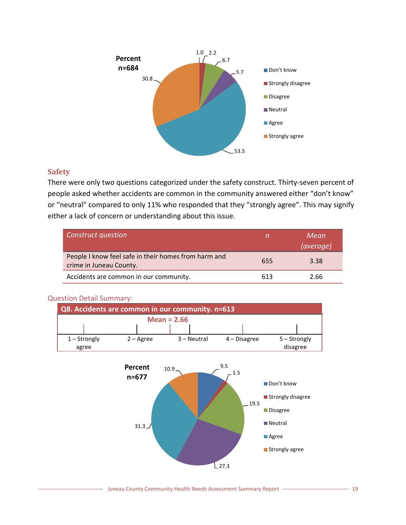

# <span id="page-20-0"></span>**Safety**

There were only two questions categorized under the safety construct. Thirty-seven percent of people asked whether accidents are common in the community answered either "don't know" or "neutral" compared to only 11% who responded that they "strongly agree". This may signify either a lack of concern or understanding about this issue.

| <b>Construct question</b>                                                       |     | Mean<br>(average) |
|---------------------------------------------------------------------------------|-----|-------------------|
| People I know feel safe in their homes from harm and<br>crime in Juneau County. | 655 | 3.38              |
| Accidents are common in our community.                                          | 613 | 2.66              |

#### Question Detail Summary:

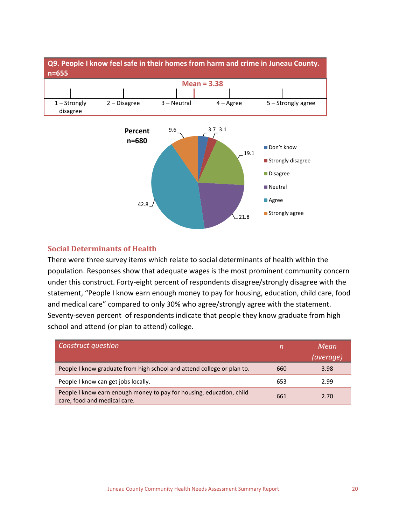

# <span id="page-21-0"></span>**Social Determinants of Health**

There were three survey items which relate to social determinants of health within the population. Responses show that adequate wages is the most prominent community concern under this construct. Forty-eight percent of respondents disagree/strongly disagree with the statement, "People I know earn enough money to pay for housing, education, child care, food and medical care" compared to only 30% who agree/strongly agree with the statement. Seventy-seven percent of respondents indicate that people they know graduate from high school and attend (or plan to attend) college.

| <b>Construct question</b>                                                                            |     | Mean<br>(average) |
|------------------------------------------------------------------------------------------------------|-----|-------------------|
| People I know graduate from high school and attend college or plan to.                               | 660 | 3.98              |
| People I know can get jobs locally.                                                                  | 653 | 2.99              |
| People I know earn enough money to pay for housing, education, child<br>care, food and medical care. | 661 | 2.70              |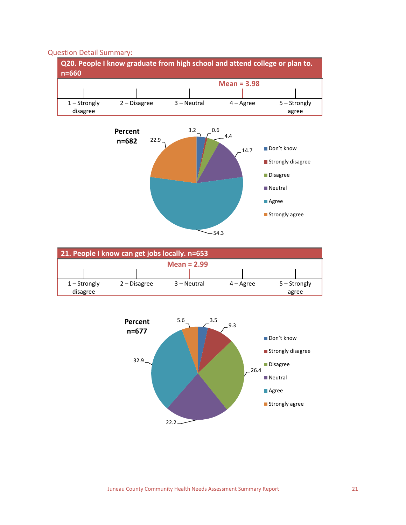#### Question Detail Summary:







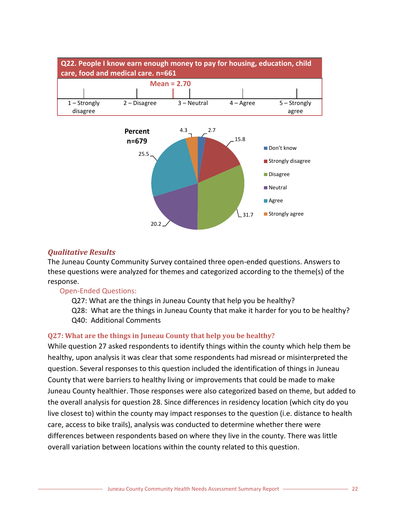

#### <span id="page-23-0"></span>*Qualitative Results*

The Juneau County Community Survey contained three open-ended questions. Answers to these questions were analyzed for themes and categorized according to the theme(s) of the response.

#### Open-Ended Questions:

- Q27: What are the things in Juneau County that help you be healthy?
- Q28: What are the things in Juneau County that make it harder for you to be healthy? Q40: Additional Comments

31.7

**Strongly agree** 

#### <span id="page-23-1"></span>**Q27: What are the things in Juneau County that help you be healthy?**

20.2

While question 27 asked respondents to identify things within the county which help them be healthy, upon analysis it was clear that some respondents had misread or misinterpreted the question. Several responses to this question included the identification of things in Juneau County that were barriers to healthy living or improvements that could be made to make Juneau County healthier. Those responses were also categorized based on theme, but added to the overall analysis for question 28. Since differences in residency location (which city do you live closest to) within the county may impact responses to the question (i.e. distance to health care, access to bike trails), analysis was conducted to determine whether there were differences between respondents based on where they live in the county. There was little overall variation between locations within the county related to this question.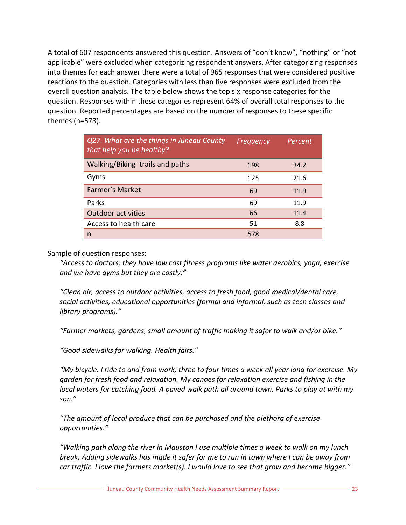A total of 607 respondents answered this question. Answers of "don't know", "nothing" or "not applicable" were excluded when categorizing respondent answers. After categorizing responses into themes for each answer there were a total of 965 responses that were considered positive reactions to the question. Categories with less than five responses were excluded from the overall question analysis. The table below shows the top six response categories for the question. Responses within these categories represent 64% of overall total responses to the question. Reported percentages are based on the number of responses to these specific themes (n=578).

| Q27. What are the things in Juneau County<br>that help you be healthy? | Frequency | Percent |
|------------------------------------------------------------------------|-----------|---------|
| Walking/Biking trails and paths                                        | 198       | 34.2    |
| Gyms                                                                   | 125       | 21.6    |
| Farmer's Market                                                        | 69        | 11.9    |
| Parks                                                                  | 69        | 11.9    |
| <b>Outdoor activities</b>                                              | 66        | 11.4    |
| Access to health care                                                  | 51        | 8.8     |
| n                                                                      | 578       |         |

Sample of question responses:

*"Access to doctors, they have low cost fitness programs like water aerobics, yoga, exercise and we have gyms but they are costly."*

*"Clean air, access to outdoor activities, access to fresh food, good medical/dental care, social activities, educational opportunities (formal and informal, such as tech classes and library programs)."*

*"Farmer markets, gardens, small amount of traffic making it safer to walk and/or bike."*

*"Good sidewalks for walking. Health fairs."*

*"My bicycle. I ride to and from work, three to four times a week all year long for exercise. My garden for fresh food and relaxation. My canoes for relaxation exercise and fishing in the local waters for catching food. A paved walk path all around town. Parks to play at with my son."*

*"The amount of local produce that can be purchased and the plethora of exercise opportunities."*

*"Walking path along the river in Mauston I use multiple times a week to walk on my lunch break. Adding sidewalks has made it safer for me to run in town where I can be away from car traffic. I love the farmers market(s). I would love to see that grow and become bigger."*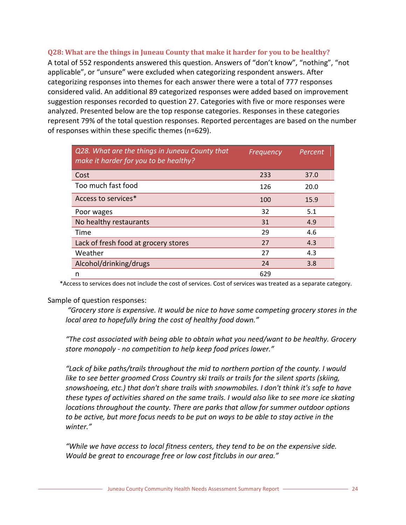#### <span id="page-25-0"></span>**Q28: What are the things in Juneau County that make it harder for you to be healthy?**

A total of 552 respondents answered this question. Answers of "don't know", "nothing", "not applicable", or "unsure" were excluded when categorizing respondent answers. After categorizing responses into themes for each answer there were a total of 777 responses considered valid. An additional 89 categorized responses were added based on improvement suggestion responses recorded to question 27. Categories with five or more responses were analyzed. Presented below are the top response categories. Responses in these categories represent 79% of the total question responses. Reported percentages are based on the number of responses within these specific themes (n=629).

| Q28. What are the things in Juneau County that<br>make it harder for you to be healthy? | Frequency | Percent |
|-----------------------------------------------------------------------------------------|-----------|---------|
| Cost                                                                                    | 233       | 37.0    |
| Too much fast food                                                                      | 126       | 20.0    |
| Access to services*                                                                     | 100       | 15.9    |
| Poor wages                                                                              | 32        | 5.1     |
| No healthy restaurants                                                                  | 31        | 4.9     |
| Time                                                                                    | 29        | 4.6     |
| Lack of fresh food at grocery stores                                                    | 27        | 4.3     |
| Weather                                                                                 | 27        | 4.3     |
| Alcohol/drinking/drugs                                                                  | 24        | 3.8     |
| n                                                                                       | 629       |         |

\*Access to services does not include the cost of services. Cost of services was treated as a separate category.

#### Sample of question responses:

*"Grocery store is expensive. It would be nice to have some competing grocery stores in the local area to hopefully bring the cost of healthy food down."*

*"The cost associated with being able to obtain what you need/want to be healthy. Grocery store monopoly - no competition to help keep food prices lower."*

*"Lack of bike paths/trails throughout the mid to northern portion of the county. I would like to see better groomed Cross Country ski trails or trails for the silent sports (skiing, snowshoeing, etc.) that don't share trails with snowmobiles. I don't think it's safe to have these types of activities shared on the same trails. I would also like to see more ice skating locations throughout the county. There are parks that allow for summer outdoor options to be active, but more focus needs to be put on ways to be able to stay active in the winter."*

*"While we have access to local fitness centers, they tend to be on the expensive side. Would be great to encourage free or low cost fitclubs in our area."*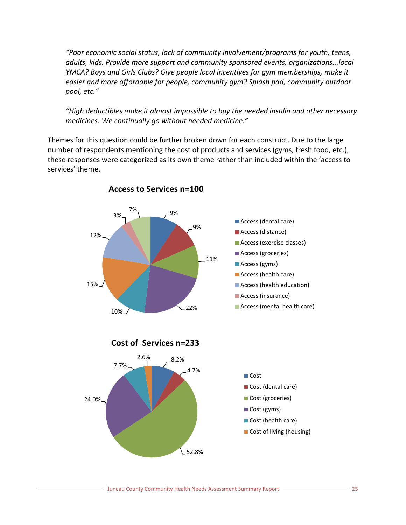*"Poor economic social status, lack of community involvement/programs for youth, teens, adults, kids. Provide more support and community sponsored events, organizations...local YMCA? Boys and Girls Clubs? Give people local incentives for gym memberships, make it easier and more affordable for people, community gym? Splash pad, community outdoor pool, etc."*

*"High deductibles make it almost impossible to buy the needed insulin and other necessary medicines. We continually go without needed medicine."*

Themes for this question could be further broken down for each construct. Due to the large number of respondents mentioning the cost of products and services (gyms, fresh food, etc.), these responses were categorized as its own theme rather than included within the 'access to services' theme.



**Access to Services n=100**

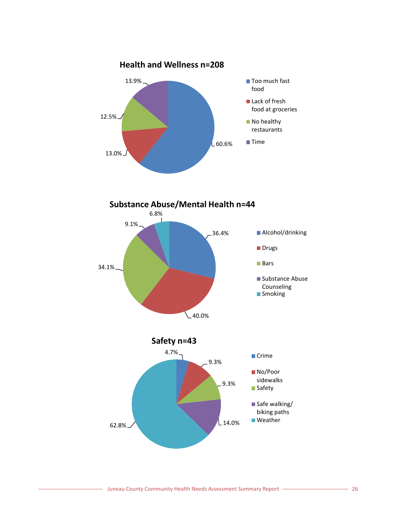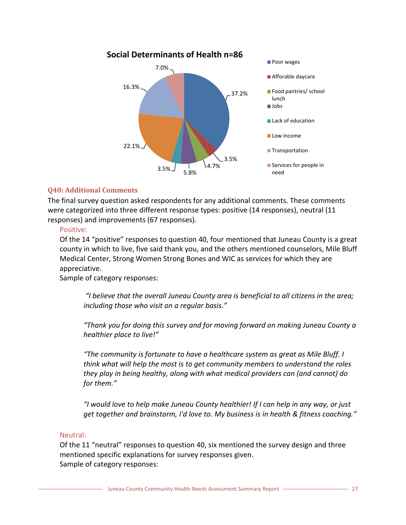

## <span id="page-28-0"></span>**Q40: Additional Comments**

The final survey question asked respondents for any additional comments. These comments were categorized into three different response types: positive (14 responses), neutral (11 responses) and improvements (67 responses).

#### Positive:

Of the 14 "positive" responses to question 40, four mentioned that Juneau County is a great county in which to live, five said thank you, and the others mentioned counselors, Mile Bluff Medical Center, Strong Women Strong Bones and WIC as services for which they are appreciative.

Sample of category responses:

*"I believe that the overall Juneau County area is beneficial to all citizens in the area; including those who visit on a regular basis."*

*"Thank you for doing this survey and for moving forward on making Juneau County a healthier place to live!"*

*"The community is fortunate to have a healthcare system as great as Mile Bluff. I think what will help the most is to get community members to understand the roles they play in being healthy, along with what medical providers can (and cannot) do for them."*

*"I would love to help make Juneau County healthier! If I can help in any way, or just get together and brainstorm, I'd love to. My business is in health & fitness coaching."*

#### Neutral:

Of the 11 "neutral" responses to question 40, six mentioned the survey design and three mentioned specific explanations for survey responses given. Sample of category responses: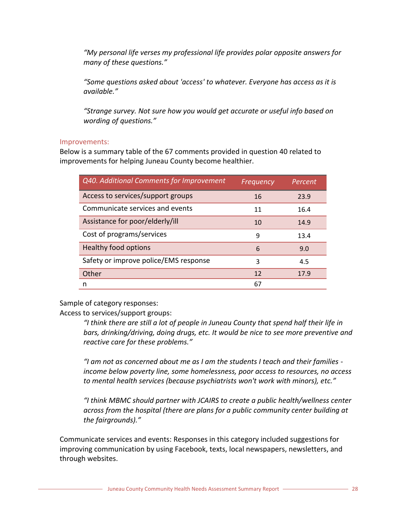*"My personal life verses my professional life provides polar opposite answers for many of these questions."*

*"Some questions asked about 'access' to whatever. Everyone has access as it is available."*

*"Strange survey. Not sure how you would get accurate or useful info based on wording of questions."*

## Improvements:

Below is a summary table of the 67 comments provided in question 40 related to improvements for helping Juneau County become healthier.

| Q40. Additional Comments for Improvement | Frequency | Percent |
|------------------------------------------|-----------|---------|
| Access to services/support groups        | 16        | 23.9    |
| Communicate services and events          | 11        | 16.4    |
| Assistance for poor/elderly/ill          | 10        | 14.9    |
| Cost of programs/services                | 9         | 13.4    |
| Healthy food options                     | 6         | 9.0     |
| Safety or improve police/EMS response    | 3         | 4.5     |
| Other                                    | 12        | 17.9    |
| n                                        | 67        |         |

Sample of category responses:

Access to services/support groups:

*"I think there are still a lot of people in Juneau County that spend half their life in bars, drinking/driving, doing drugs, etc. It would be nice to see more preventive and reactive care for these problems."*

*"I am not as concerned about me as I am the students I teach and their families income below poverty line, some homelessness, poor access to resources, no access to mental health services (because psychiatrists won't work with minors), etc."*

*"I think MBMC should partner with JCAIRS to create a public health/wellness center across from the hospital (there are plans for a public community center building at the fairgrounds)."*

Communicate services and events: Responses in this category included suggestions for improving communication by using Facebook, texts, local newspapers, newsletters, and through websites.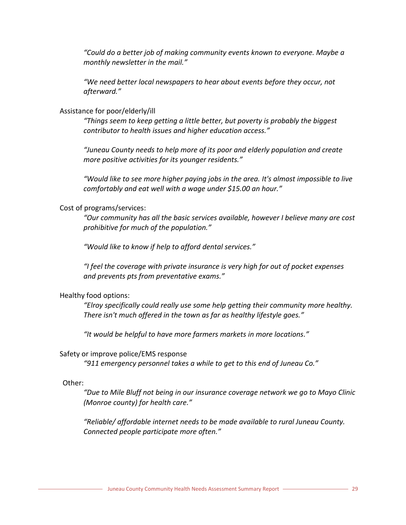*"Could do a better job of making community events known to everyone. Maybe a monthly newsletter in the mail."*

*"We need better local newspapers to hear about events before they occur, not afterward."*

#### Assistance for poor/elderly/ill

*"Things seem to keep getting a little better, but poverty is probably the biggest contributor to health issues and higher education access."*

*"Juneau County needs to help more of its poor and elderly population and create more positive activities for its younger residents."*

*"Would like to see more higher paying jobs in the area. It's almost impossible to live comfortably and eat well with a wage under \$15.00 an hour."*

#### Cost of programs/services:

*"Our community has all the basic services available, however I believe many are cost prohibitive for much of the population."*

*"Would like to know if help to afford dental services."*

*"I feel the coverage with private insurance is very high for out of pocket expenses and prevents pts from preventative exams."*

#### Healthy food options:

*"Elroy specifically could really use some help getting their community more healthy. There isn't much offered in the town as far as healthy lifestyle goes."*

*"It would be helpful to have more farmers markets in more locations."*

#### Safety or improve police/EMS response

*"911 emergency personnel takes a while to get to this end of Juneau Co."*

#### Other:

*"Due to Mile Bluff not being in our insurance coverage network we go to Mayo Clinic (Monroe county) for health care."*

*"Reliable/ affordable internet needs to be made available to rural Juneau County. Connected people participate more often."*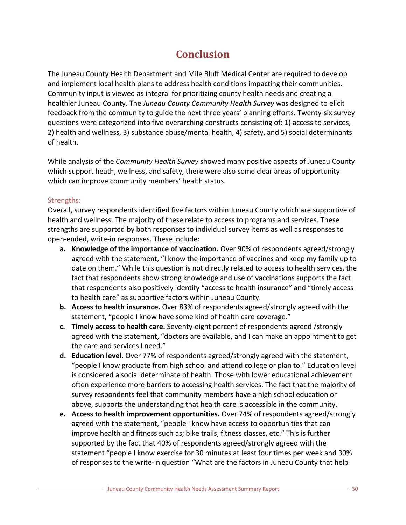# **Conclusion**

<span id="page-31-0"></span>The Juneau County Health Department and Mile Bluff Medical Center are required to develop and implement local health plans to address health conditions impacting their communities. Community input is viewed as integral for prioritizing county health needs and creating a healthier Juneau County. The *Juneau County Community Health Survey* was designed to elicit feedback from the community to guide the next three years' planning efforts. Twenty-six survey questions were categorized into five overarching constructs consisting of: 1) access to services, 2) health and wellness, 3) substance abuse/mental health, 4) safety, and 5) social determinants of health.

While analysis of the *Community Health Survey* showed many positive aspects of Juneau County which support heath, wellness, and safety, there were also some clear areas of opportunity which can improve community members' health status.

# Strengths:

Overall, survey respondents identified five factors within Juneau County which are supportive of health and wellness. The majority of these relate to access to programs and services. These strengths are supported by both responses to individual survey items as well as responses to open-ended, write-in responses. These include:

- **a. Knowledge of the importance of vaccination.** Over 90% of respondents agreed/strongly agreed with the statement, "I know the importance of vaccines and keep my family up to date on them." While this question is not directly related to access to health services, the fact that respondents show strong knowledge and use of vaccinations supports the fact that respondents also positively identify "access to health insurance" and "timely access to health care" as supportive factors within Juneau County.
- **b. Access to health insurance.** Over 83% of respondents agreed/strongly agreed with the statement, "people I know have some kind of health care coverage."
- **c. Timely access to health care.** Seventy-eight percent of respondents agreed /strongly agreed with the statement, "doctors are available, and I can make an appointment to get the care and services I need."
- **d. Education level.** Over 77% of respondents agreed/strongly agreed with the statement, "people I know graduate from high school and attend college or plan to." Education level is considered a social determinate of health. Those with lower educational achievement often experience more barriers to accessing health services. The fact that the majority of survey respondents feel that community members have a high school education or above, supports the understanding that health care is accessible in the community.
- **e. Access to health improvement opportunities.** Over 74% of respondents agreed/strongly agreed with the statement, "people I know have access to opportunities that can improve health and fitness such as; bike trails, fitness classes, etc." This is further supported by the fact that 40% of respondents agreed/strongly agreed with the statement "people I know exercise for 30 minutes at least four times per week and 30% of responses to the write-in question "What are the factors in Juneau County that help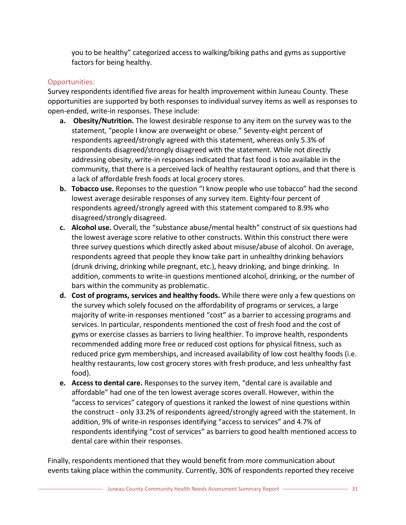you to be healthy" categorized access to walking/biking paths and gyms as supportive factors for being healthy.

# Opportunities:

Survey respondents identified five areas for health improvement within Juneau County. These opportunities are supported by both responses to individual survey items as well as responses to open-ended, write-in responses. These include:

- **a. Obesity/Nutrition.** The lowest desirable response to any item on the survey was to the statement, "people I know are overweight or obese." Seventy-eight percent of respondents agreed/strongly agreed with this statement, whereas only 5.3% of respondents disagreed/strongly disagreed with the statement. While not directly addressing obesity, write-in responses indicated that fast food is too available in the community, that there is a perceived lack of healthy restaurant options, and that there is a lack of affordable fresh foods at local grocery stores.
- **b. Tobacco use.** Reponses to the question "I know people who use tobacco" had the second lowest average desirable responses of any survey item. Eighty-four percent of respondents agreed/strongly agreed with this statement compared to 8.9% who disagreed/strongly disagreed.
- **c. Alcohol use.** Overall, the "substance abuse/mental health" construct of six questions had the lowest average score relative to other constructs. Within this construct there were three survey questions which directly asked about misuse/abuse of alcohol. On average, respondents agreed that people they know take part in unhealthy drinking behaviors (drunk driving, drinking while pregnant, etc.), heavy drinking, and binge drinking. In addition, comments to write-in questions mentioned alcohol, drinking, or the number of bars within the community as problematic.
- **d. Cost of programs, services and healthy foods.** While there were only a few questions on the survey which solely focused on the affordability of programs or services, a large majority of write-in responses mentioned "cost" as a barrier to accessing programs and services. In particular, respondents mentioned the cost of fresh food and the cost of gyms or exercise classes as barriers to living healthier. To improve health, respondents recommended adding more free or reduced cost options for physical fitness, such as reduced price gym memberships, and increased availability of low cost healthy foods (i.e. healthy restaurants, low cost grocery stores with fresh produce, and less unhealthy fast food).
- **e. Access to dental care.** Responses to the survey item, "dental care is available and affordable" had one of the ten lowest average scores overall. However, within the "access to services" category of questions it ranked the lowest of nine questions within the construct - only 33.2% of respondents agreed/strongly agreed with the statement. In addition, 9% of write-in responses identifying "access to services" and 4.7% of respondents identifying "cost of services" as barriers to good health mentioned access to dental care within their responses.

Finally, respondents mentioned that they would benefit from more communication about events taking place within the community. Currently, 30% of respondents reported they receive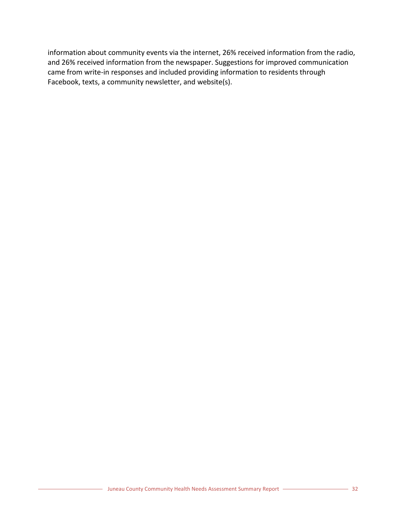information about community events via the internet, 26% received information from the radio, and 26% received information from the newspaper. Suggestions for improved communication came from write-in responses and included providing information to residents through Facebook, texts, a community newsletter, and website(s).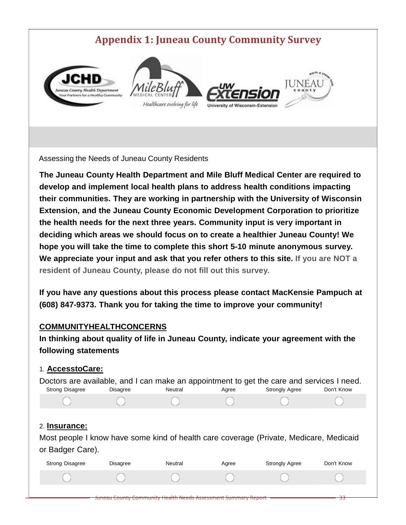# **Appendix 1: Juneau County Community Survey**

<span id="page-34-0"></span>

Assessing the Needs of Juneau County Residents

**The Juneau County Health Department and Mile Bluff Medical Center are required to develop and implement local health plans to address health conditions impacting their communities. They are working in partnership with the University of Wisconsin Extension, and the Juneau County Economic Development Corporation to prioritize the health needs for the next three years. Community input is very important in deciding which areas we should focus on to create a healthier Juneau County! We hope you will take the time to complete this short 5-10 minute anonymous survey. We appreciate your input and ask that you refer others to this site. If you are NOT a resident of Juneau County, please do not fill out this survey.**

**If you have any questions about this process please contact MacKensie Pampuch at (608) 847-9373. Thank you for taking the time to improve your community!**

# **COMMUNITYHEALTHCONCERNS**

**In thinking about quality of life in Juneau County, indicate your agreement with the following statements**

# 1. **AccesstoCare:**

| Doctors are available, and I can make an appointment to get the care and services I need.<br><b>Strong Disagree</b><br>Neutral<br><b>Strongly Agree</b><br><b>Disagree</b><br>Agree<br>Don't Know |                 |                                                                       |       |                                                                                        |            |  |  |
|---------------------------------------------------------------------------------------------------------------------------------------------------------------------------------------------------|-----------------|-----------------------------------------------------------------------|-------|----------------------------------------------------------------------------------------|------------|--|--|
|                                                                                                                                                                                                   |                 |                                                                       |       |                                                                                        |            |  |  |
| 2. Insurance:<br>or Badger Care).                                                                                                                                                                 |                 |                                                                       |       | Most people I know have some kind of health care coverage (Private, Medicare, Medicaid |            |  |  |
| <b>Strong Disagree</b>                                                                                                                                                                            | <b>Disagree</b> | Neutral                                                               | Agree | <b>Strongly Agree</b>                                                                  | Don't Know |  |  |
|                                                                                                                                                                                                   |                 |                                                                       |       |                                                                                        |            |  |  |
|                                                                                                                                                                                                   |                 | <b>Juneau County Community Health Needs Assessment Summary Report</b> |       |                                                                                        |            |  |  |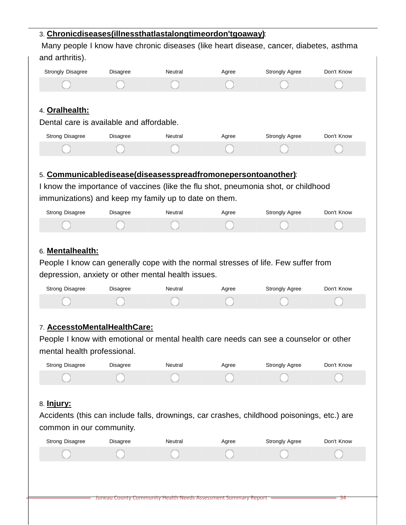# 3. **Chronicdiseases(illnessthatlastalongtimeordon'tgoaway)**:

Many people I know have chronic diseases (like heart disease, cancer, diabetes, asthma and arthritis).

| <b>Strongly Disagree</b>                                                                                                                                                                                                          | <b>Disagree</b> | Neutral |       |                                                                                       |            |
|-----------------------------------------------------------------------------------------------------------------------------------------------------------------------------------------------------------------------------------|-----------------|---------|-------|---------------------------------------------------------------------------------------|------------|
|                                                                                                                                                                                                                                   |                 |         | Agree | <b>Strongly Agree</b>                                                                 | Don't Know |
|                                                                                                                                                                                                                                   |                 |         |       |                                                                                       |            |
|                                                                                                                                                                                                                                   |                 |         |       |                                                                                       |            |
| 4. Oralhealth:                                                                                                                                                                                                                    |                 |         |       |                                                                                       |            |
| Dental care is available and affordable.                                                                                                                                                                                          |                 |         |       |                                                                                       |            |
| <b>Strong Disagree</b>                                                                                                                                                                                                            | Disagree        | Neutral | Agree | <b>Strongly Agree</b>                                                                 | Don't Know |
|                                                                                                                                                                                                                                   |                 |         |       |                                                                                       |            |
|                                                                                                                                                                                                                                   |                 |         |       |                                                                                       |            |
| 5. Communicabledisease(diseasesspreadfromonepersontoanother):                                                                                                                                                                     |                 |         |       |                                                                                       |            |
|                                                                                                                                                                                                                                   |                 |         |       | I know the importance of vaccines (like the flu shot, pneumonia shot, or childhood    |            |
| immunizations) and keep my family up to date on them.                                                                                                                                                                             |                 |         |       |                                                                                       |            |
| <b>Strong Disagree</b>                                                                                                                                                                                                            | Disagree        | Neutral | Agree | Strongly Agree                                                                        | Don't Know |
|                                                                                                                                                                                                                                   |                 |         |       |                                                                                       |            |
|                                                                                                                                                                                                                                   |                 |         |       |                                                                                       |            |
|                                                                                                                                                                                                                                   |                 |         |       |                                                                                       |            |
| 6. Mentalhealth:                                                                                                                                                                                                                  |                 |         |       |                                                                                       |            |
|                                                                                                                                                                                                                                   |                 |         |       |                                                                                       |            |
|                                                                                                                                                                                                                                   |                 |         |       |                                                                                       |            |
|                                                                                                                                                                                                                                   |                 |         |       |                                                                                       |            |
| <b>Strong Disagree</b>                                                                                                                                                                                                            | <b>Disagree</b> | Neutral | Agree | <b>Strongly Agree</b>                                                                 | Don't Know |
|                                                                                                                                                                                                                                   |                 |         |       |                                                                                       |            |
|                                                                                                                                                                                                                                   |                 |         |       |                                                                                       |            |
|                                                                                                                                                                                                                                   |                 |         |       |                                                                                       |            |
|                                                                                                                                                                                                                                   |                 |         |       | People I know with emotional or mental health care needs can see a counselor or other |            |
|                                                                                                                                                                                                                                   |                 |         |       |                                                                                       |            |
| People I know can generally cope with the normal stresses of life. Few suffer from<br>depression, anxiety or other mental health issues.<br>7. AccesstoMentalHealthCare:<br>mental health professional.<br><b>Strong Disagree</b> | <b>Disagree</b> | Neutral | Agree | Strongly Agree                                                                        | Don't Know |
|                                                                                                                                                                                                                                   |                 |         |       |                                                                                       |            |

# 8. **Injury:**

Accidents (this can include falls, drownings, car crashes, childhood poisonings, etc.) are common in our community.

| <b>Strong Disagree</b> | Disagree | Neutral                                                        | Agree | <b>Strongly Agree</b> | Don't Know |
|------------------------|----------|----------------------------------------------------------------|-------|-----------------------|------------|
|                        |          |                                                                |       |                       |            |
|                        |          |                                                                |       |                       |            |
|                        |          |                                                                |       |                       |            |
|                        |          | Juneau County Community Health Needs Assessment Summary Report |       |                       | 34         |
|                        |          |                                                                |       |                       |            |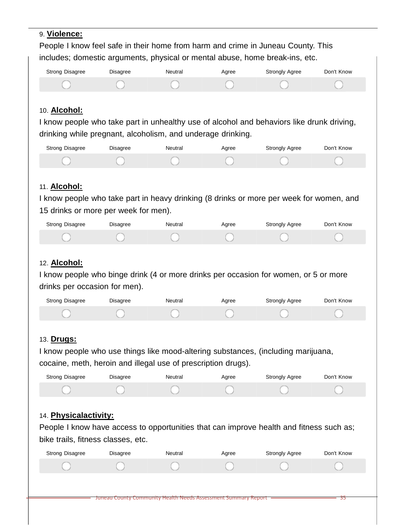# 9. **Violence:** People I know feel safe in their home from harm and crime in Juneau County. This includes; domestic arguments, physical or mental abuse, home break-ins, etc. Strong Disagree Bisagree Neutral Agree Strongly Agree Don't Know 10. **Alcohol:** I know people who take part in unhealthy use of alcohol and behaviors like drunk driving, drinking while pregnant, alcoholism, and underage drinking. Strong Disagree Meutral Agree Strongly Agree Don't Know 11. **Alcohol:** I know people who take part in heavy drinking (8 drinks or more per week for women, and 15 drinks or more per week for men). Strong Disagree Bisagree Neutral Agree Strongly Agree Don't Know 12. **Alcohol:** I know people who binge drink (4 or more drinks per occasion for women, or 5 or more drinks per occasion for men). Strong Disagree Disagree Neutral Agree Strongly Agree Don't Know 13. **Drugs:** I know people who use things like mood-altering substances, (including marijuana, cocaine, meth, heroin and illegal use of prescription drugs). Strong Disagree Meutral Agree Strongly Agree Don't Know 14. **Physicalactivity:** People I know have access to opportunities that can improve health and fitness such as; bike trails, fitness classes, etc. Strong Disagree Disagree Neutral Agree Strongly Agree Don't Know

Juneau County Community Health Needs Assessment Summary Report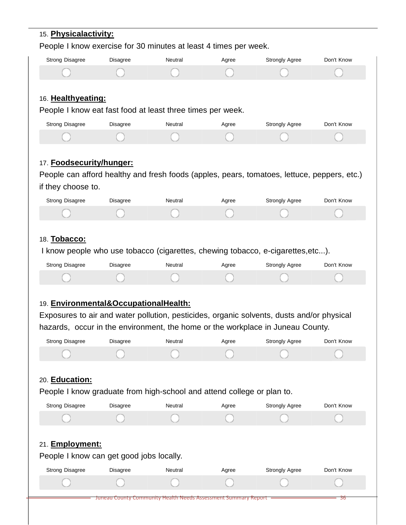# Juneau County Community Health Needs Assessment Summary Report 15. **Physicalactivity:** People I know exercise for 30 minutes at least 4 times per week. Strong Disagree Meutral Agree Strongly Agree Don't Know 16. **Healthyeating:** People I know eat fast food at least three times per week. Strong Disagree Meutral Agree Strongly Agree Don't Know 17. **Foodsecurity/hunger:** People can afford healthy and fresh foods (apples, pears, tomatoes, lettuce, peppers, etc.) if they choose to. Strong Disagree Meutral Agree Strongly Agree Don't Know 18. **Tobacco:** I know people who use tobacco (cigarettes, chewing tobacco, e-cigarettes,etc...). Strong Disagree Meutral Agree Strongly Agree Don't Know 19. **Environmental&OccupationalHealth:** Exposures to air and water pollution, pesticides, organic solvents, dusts and/or physical hazards, occur in the environment, the home or the workplace in Juneau County. Strong Disagree Meutral Agree Strongly Agree Don't Know 20. **Education:** People I know graduate from high-school and attend college or plan to. Strong Disagree Meutral Agree Strongly Agree Don't Know 21. **Employment:** People I know can get good jobs locally. Strong Disagree Meutral Agree Strongly Agree Don't Know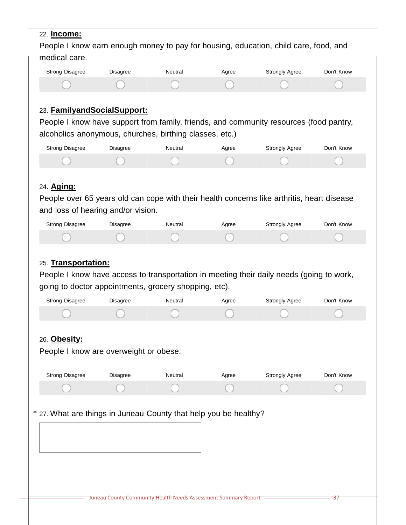#### 22. **Income:**

People I know earn enough money to pay for housing, education, child care, food, and medical care.

| Strong Disagree | Disagree | Neutral | Aaree | Strongly Agree | Don't Know |
|-----------------|----------|---------|-------|----------------|------------|
|                 |          |         |       |                |            |

# 23. **FamilyandSocialSupport:**

People I know have support from family, friends, and community resources (food pantry, alcoholics anonymous, churches, birthing classes, etc.)

| <b>Strong Disagree</b> | Disagree | Neutral | Agree | <b>Strongly Agree</b> | Don't Know |
|------------------------|----------|---------|-------|-----------------------|------------|
|                        |          |         |       |                       |            |

# 24. **Aging:**

People over 65 years old can cope with their health concerns like arthritis, heart disease and loss of hearing and/or vision.

| Strong Disagree | Disagree | Neutral | Agree | <b>Strongly Agree</b> | Don't Know |
|-----------------|----------|---------|-------|-----------------------|------------|
|                 |          |         |       |                       |            |

# 25. **Transportation:**

People I know have access to transportation in meeting their daily needs (going to work, going to doctor appointments, grocery shopping, etc).

| Strong Disagree | <b>Disagree</b> | Neutral | Agree | <b>Strongly Agree</b> | Don't Know |
|-----------------|-----------------|---------|-------|-----------------------|------------|
|                 |                 |         |       |                       |            |

# 26. **Obesity:**

People I know are overweight or obese.

| Strong Disagree | Disagree | Neutral | Aaree | <b>Strongly Agree</b> | Don't Know |
|-----------------|----------|---------|-------|-----------------------|------------|
|                 |          |         |       |                       |            |

\* 27. What are things in Juneau County that help you be healthy?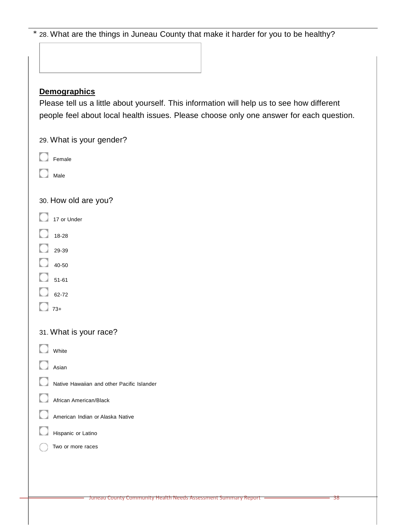| * 28. What are the things in Juneau County that make it harder for you to be healthy?      |
|--------------------------------------------------------------------------------------------|
|                                                                                            |
|                                                                                            |
| <b>Demographics</b>                                                                        |
| Please tell us a little about yourself. This information will help us to see how different |
| people feel about local health issues. Please choose only one answer for each question.    |
| 29. What is your gender?                                                                   |
| Female                                                                                     |
| Male                                                                                       |
|                                                                                            |
| 30. How old are you?                                                                       |
| 17 or Under                                                                                |
| 18-28                                                                                      |
| 29-39                                                                                      |
| 40-50                                                                                      |
| $51 - 61$<br>62-72                                                                         |
| $73+$                                                                                      |
|                                                                                            |
| 31. What is your race?                                                                     |
| White                                                                                      |
| Asian                                                                                      |
| Native Hawaiian and other Pacific Islander                                                 |
| African American/Black                                                                     |
| American Indian or Alaska Native                                                           |
| Hispanic or Latino                                                                         |
| Two or more races                                                                          |
|                                                                                            |
|                                                                                            |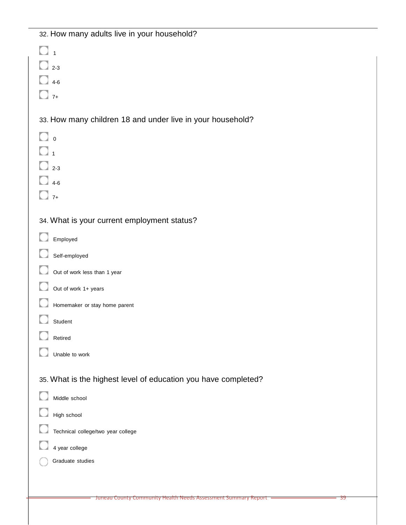# 32. How many adults live in your household?

| $\overline{1}$                                                 |
|----------------------------------------------------------------|
| $\Box$ 2-3                                                     |
| $\frac{1}{4}$ 4-6                                              |
| $\frac{1}{7}$                                                  |
| 33. How many children 18 and under live in your household?     |
| $\Box$ o                                                       |
| $\mathbb{I}_1$                                                 |
| $\frac{1}{2}$ 2-3                                              |
| $4-6$                                                          |
| $7+$                                                           |
| 34. What is your current employment status?                    |
| Employed                                                       |
| Self-employed                                                  |
| Out of work less than 1 year                                   |
| Out of work 1+ years                                           |
| Homemaker or stay home parent                                  |
| Student                                                        |
| Retired                                                        |
| Unable to work                                                 |
| 35. What is the highest level of education you have completed? |
| Middle school                                                  |
| High school                                                    |
| Technical college/two year college                             |
| 4 year college                                                 |
| Graduate studies                                               |
|                                                                |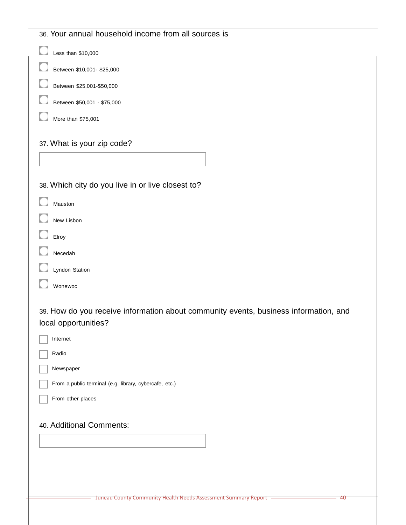| 36. Your annual household income from all sources is                                                         |
|--------------------------------------------------------------------------------------------------------------|
| Less than \$10,000                                                                                           |
| Between \$10,001- \$25,000                                                                                   |
| Between \$25,001-\$50,000                                                                                    |
| Between \$50,001 - \$75,000                                                                                  |
| More than \$75,001                                                                                           |
| 37. What is your zip code?                                                                                   |
|                                                                                                              |
| 38. Which city do you live in or live closest to?                                                            |
| Mauston                                                                                                      |
| New Lisbon                                                                                                   |
| Elroy                                                                                                        |
| Necedah                                                                                                      |
| Lyndon Station                                                                                               |
| Wonewoc                                                                                                      |
| 39. How do you receive information about community events, business information, and<br>local opportunities? |
| Internet                                                                                                     |
| Radio                                                                                                        |
| Newspaper                                                                                                    |
| From a public terminal (e.g. library, cybercafe, etc.)                                                       |
| From other places                                                                                            |
| 40. Additional Comments:                                                                                     |
|                                                                                                              |
|                                                                                                              |
|                                                                                                              |
| Juneau County Community Health Needs Assessment Summary Report<br>40                                         |
|                                                                                                              |